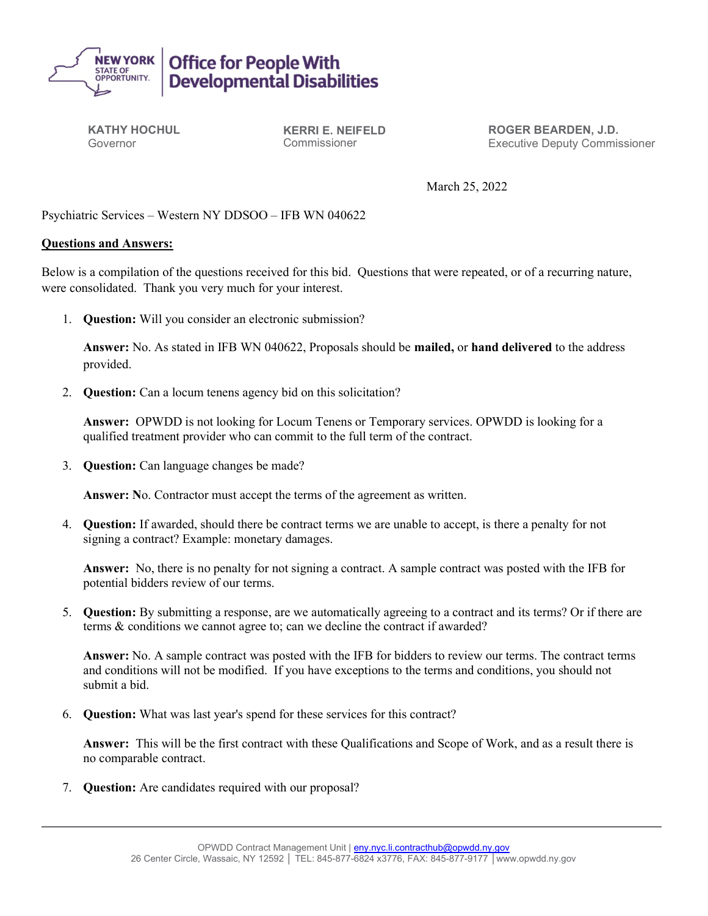

KATHY HOCHUL Governor

KERRI E. NEIFELD Commissioner

ROGER BEARDEN, J.D. Executive Deputy Commissioner

March 25, 2022

## Psychiatric Services – Western NY DDSOO – IFB WN 040622

## Questions and Answers:

Below is a compilation of the questions received for this bid. Questions that were repeated, or of a recurring nature, were consolidated. Thank you very much for your interest.

1. Question: Will you consider an electronic submission?

Answer: No. As stated in IFB WN 040622, Proposals should be mailed, or hand delivered to the address provided.

2. Question: Can a locum tenens agency bid on this solicitation?

Answer: OPWDD is not looking for Locum Tenens or Temporary services. OPWDD is looking for a qualified treatment provider who can commit to the full term of the contract.

3. Question: Can language changes be made?

Answer: No. Contractor must accept the terms of the agreement as written.

4. Question: If awarded, should there be contract terms we are unable to accept, is there a penalty for not signing a contract? Example: monetary damages.

Answer: No, there is no penalty for not signing a contract. A sample contract was posted with the IFB for potential bidders review of our terms.

5. Question: By submitting a response, are we automatically agreeing to a contract and its terms? Or if there are terms & conditions we cannot agree to; can we decline the contract if awarded?

Answer: No. A sample contract was posted with the IFB for bidders to review our terms. The contract terms and conditions will not be modified. If you have exceptions to the terms and conditions, you should not submit a bid.

6. Question: What was last year's spend for these services for this contract?

Answer: This will be the first contract with these Qualifications and Scope of Work, and as a result there is no comparable contract.

7. Question: Are candidates required with our proposal?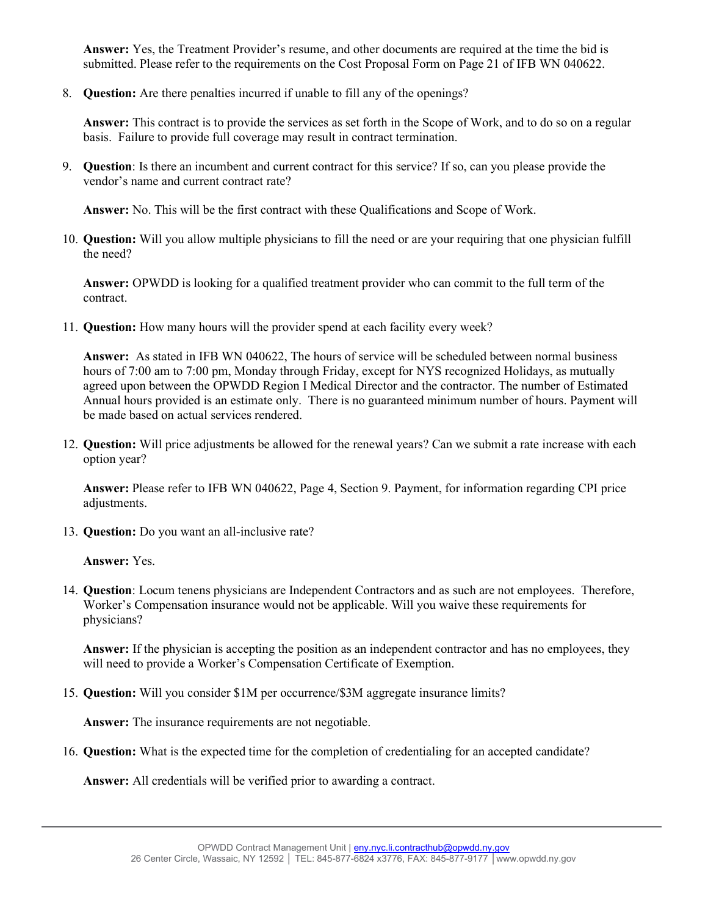Answer: Yes, the Treatment Provider's resume, and other documents are required at the time the bid is submitted. Please refer to the requirements on the Cost Proposal Form on Page 21 of IFB WN 040622.

8. Question: Are there penalties incurred if unable to fill any of the openings?

Answer: This contract is to provide the services as set forth in the Scope of Work, and to do so on a regular basis. Failure to provide full coverage may result in contract termination.

9. Question: Is there an incumbent and current contract for this service? If so, can you please provide the vendor's name and current contract rate?

Answer: No. This will be the first contract with these Qualifications and Scope of Work.

10. Question: Will you allow multiple physicians to fill the need or are your requiring that one physician fulfill the need?

Answer: OPWDD is looking for a qualified treatment provider who can commit to the full term of the contract.

11. Question: How many hours will the provider spend at each facility every week?

Answer: As stated in IFB WN 040622, The hours of service will be scheduled between normal business hours of 7:00 am to 7:00 pm, Monday through Friday, except for NYS recognized Holidays, as mutually agreed upon between the OPWDD Region I Medical Director and the contractor. The number of Estimated Annual hours provided is an estimate only. There is no guaranteed minimum number of hours. Payment will be made based on actual services rendered.

12. Question: Will price adjustments be allowed for the renewal years? Can we submit a rate increase with each option year?

Answer: Please refer to IFB WN 040622, Page 4, Section 9. Payment, for information regarding CPI price adjustments.

13. Question: Do you want an all-inclusive rate?

Answer: Yes.

14. Question: Locum tenens physicians are Independent Contractors and as such are not employees. Therefore, Worker's Compensation insurance would not be applicable. Will you waive these requirements for physicians?

Answer: If the physician is accepting the position as an independent contractor and has no employees, they will need to provide a Worker's Compensation Certificate of Exemption.

15. Question: Will you consider \$1M per occurrence/\$3M aggregate insurance limits?

Answer: The insurance requirements are not negotiable.

16. Question: What is the expected time for the completion of credentialing for an accepted candidate?

Answer: All credentials will be verified prior to awarding a contract.